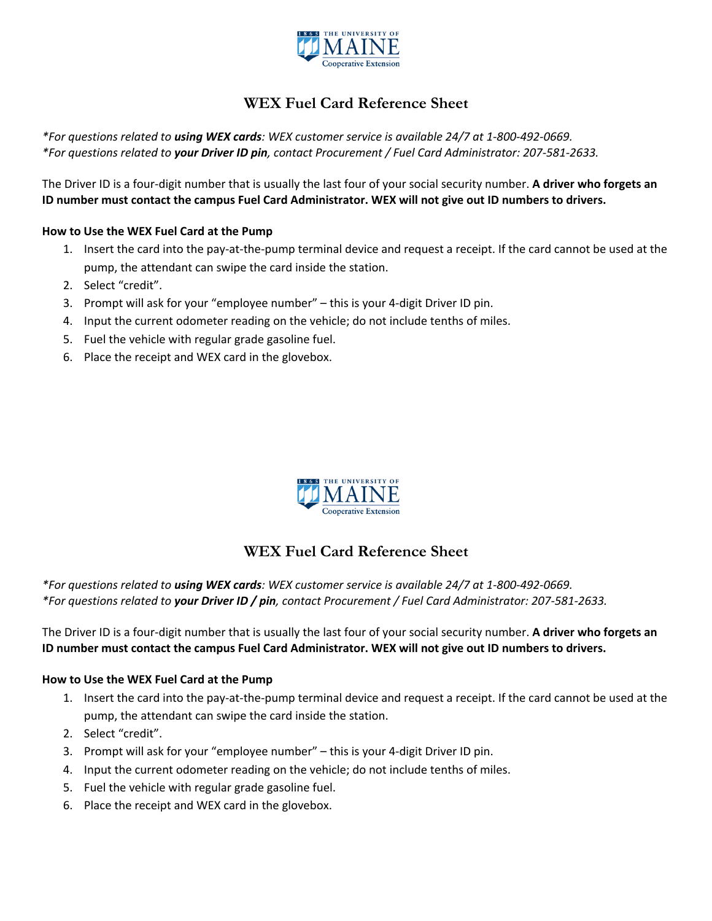

## **WEX Fuel Card Reference Sheet**

*\*For questions related to using WEX cards: WEX customer service is available 24/7 at 1-800-492-0669. \*For questions related to your Driver ID pin, contact Procurement / Fuel Card Administrator: 207-581-2633.*

The Driver ID is a four-digit number that is usually the last four of your social security number. **A driver who forgets an ID number must contact the campus Fuel Card Administrator. WEX will not give out ID numbers to drivers.**

#### **How to Use the WEX Fuel Card at the Pump**

- 1. Insert the card into the pay-at-the-pump terminal device and request a receipt. If the card cannot be used at the pump, the attendant can swipe the card inside the station.
- 2. Select "credit".
- 3. Prompt will ask for your "employee number" this is your 4-digit Driver ID pin.
- 4. Input the current odometer reading on the vehicle; do not include tenths of miles.
- 5. Fuel the vehicle with regular grade gasoline fuel.
- 6. Place the receipt and WEX card in the glovebox.



### **WEX Fuel Card Reference Sheet**

*\*For questions related to using WEX cards: WEX customer service is available 24/7 at 1-800-492-0669. \*For questions related to your Driver ID / pin, contact Procurement / Fuel Card Administrator: 207-581-2633.*

The Driver ID is a four-digit number that is usually the last four of your social security number. **A driver who forgets an ID number must contact the campus Fuel Card Administrator. WEX will not give out ID numbers to drivers.**

#### **How to Use the WEX Fuel Card at the Pump**

- 1. Insert the card into the pay-at-the-pump terminal device and request a receipt. If the card cannot be used at the pump, the attendant can swipe the card inside the station.
- 2. Select "credit".
- 3. Prompt will ask for your "employee number" this is your 4-digit Driver ID pin.
- 4. Input the current odometer reading on the vehicle; do not include tenths of miles.
- 5. Fuel the vehicle with regular grade gasoline fuel.
- 6. Place the receipt and WEX card in the glovebox.